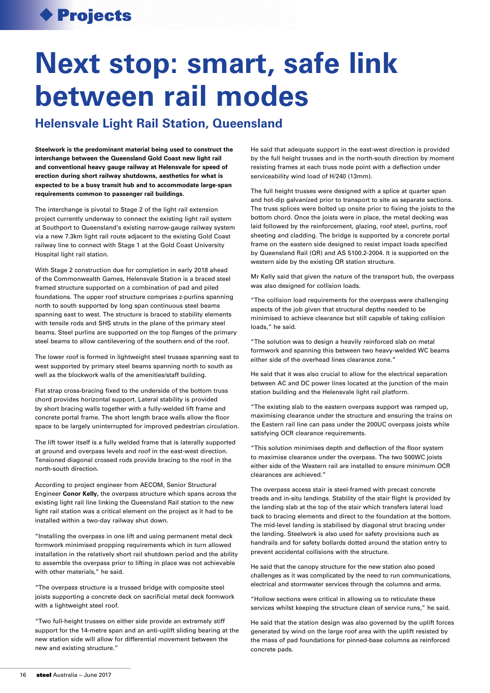## Projects

## **Next stop: smart, safe link between rail modes**

## **Helensvale Light Rail Station, Queensland**

**Steelwork is the predominant material being used to construct the interchange between the Queensland Gold Coast new light rail and conventional heavy gauge railway at Helensvale for speed of erection during short railway shutdowns, aesthetics for what is expected to be a busy transit hub and to accommodate large-span requirements common to passenger rail buildings.**

The interchange is pivotal to Stage 2 of the light rail extension project currently underway to connect the existing light rail system at Southport to Queensland's existing narrow-gauge railway system via a new 7.3km light rail route adjacent to the existing Gold Coast railway line to connect with Stage 1 at the Gold Coast University Hospital light rail station.

With Stage 2 construction due for completion in early 2018 ahead of the Commonwealth Games, Helensvale Station is a braced steel framed structure supported on a combination of pad and piled foundations. The upper roof structure comprises z-purlins spanning north to south supported by long span continuous steel beams spanning east to west. The structure is braced to stability elements with tensile rods and SHS struts in the plane of the primary steel beams. Steel purlins are supported on the top flanges of the primary steel beams to allow cantilevering of the southern end of the roof.

The lower roof is formed in lightweight steel trusses spanning east to west supported by primary steel beams spanning north to south as well as the blockwork walls of the amenities/staff building.

Flat strap cross-bracing fixed to the underside of the bottom truss chord provides horizontal support. Lateral stability is provided by short bracing walls together with a fully-welded lift frame and concrete portal frame. The short length brace walls allow the floor space to be largely uninterrupted for improved pedestrian circulation.

The lift tower itself is a fully welded frame that is laterally supported at ground and overpass levels and roof in the east-west direction. Tensioned diagonal crossed rods provide bracing to the roof in the north-south direction.

According to project engineer from AECOM, Senior Structural Engineer **Conor Kelly,** the overpass structure which spans across the existing light rail line linking the Queensland Rail station to the new light rail station was a critical element on the project as it had to be installed within a two-day railway shut down.

"Installing the overpass in one lift and using permanent metal deck formwork minimised propping requirements which in turn allowed installation in the relatively short rail shutdown period and the ability to assemble the overpass prior to lifting in place was not achievable with other materials," he said.

"The overpass structure is a trussed bridge with composite steel joists supporting a concrete deck on sacrificial metal deck formwork with a lightweight steel roof.

"Two full-height trusses on either side provide an extremely stiff support for the 14-metre span and an anti-uplift sliding bearing at the new station side will allow for differential movement between the new and existing structure."

He said that adequate support in the east-west direction is provided by the full height trusses and in the north-south direction by moment resisting frames at each truss node point with a deflection under serviceability wind load of H/240 (13mm).

The full height trusses were designed with a splice at quarter span and hot-dip galvanized prior to transport to site as separate sections. The truss splices were bolted up onsite prior to fixing the joists to the bottom chord. Once the joists were in place, the metal decking was laid followed by the reinforcement, glazing, roof steel, purlins, roof sheeting and cladding. The bridge is supported by a concrete portal frame on the eastern side designed to resist impact loads specified by Queensland Rail (QR) and AS 5100.2-2004. It is supported on the western side by the existing QR station structure.

Mr Kelly said that given the nature of the transport hub, the overpass was also designed for collision loads.

"The collision load requirements for the overpass were challenging aspects of the job given that structural depths needed to be minimised to achieve clearance but still capable of taking collision loads," he said.

"The solution was to design a heavily reinforced slab on metal formwork and spanning this between two heavy-welded WC beams either side of the overhead lines clearance zone."

He said that it was also crucial to allow for the electrical separation between AC and DC power lines located at the junction of the main station building and the Helensvale light rail platform.

"The existing slab to the eastern overpass support was ramped up, maximising clearance under the structure and ensuring the trains on the Eastern rail line can pass under the 200UC overpass joists while satisfying OCR clearance requirements.

"This solution minimises depth and deflection of the floor system to maximise clearance under the overpass. The two 500WC joists either side of the Western rail are installed to ensure minimum OCR clearances are achieved."

The overpass access stair is steel-framed with precast concrete treads and in-situ landings. Stability of the stair flight is provided by the landing slab at the top of the stair which transfers lateral load back to bracing elements and direct to the foundation at the bottom. The mid-level landing is stabilised by diagonal strut bracing under the landing. Steelwork is also used for safety provisions such as handrails and for safety bollards dotted around the station entry to prevent accidental collisions with the structure.

He said that the canopy structure for the new station also posed challenges as it was complicated by the need to run communications, electrical and stormwater services through the columns and arms.

"Hollow sections were critical in allowing us to reticulate these services whilst keeping the structure clean of service runs," he said.

He said that the station design was also governed by the uplift forces generated by wind on the large roof area with the uplift resisted by the mass of pad foundations for pinned-base columns as reinforced concrete pads.